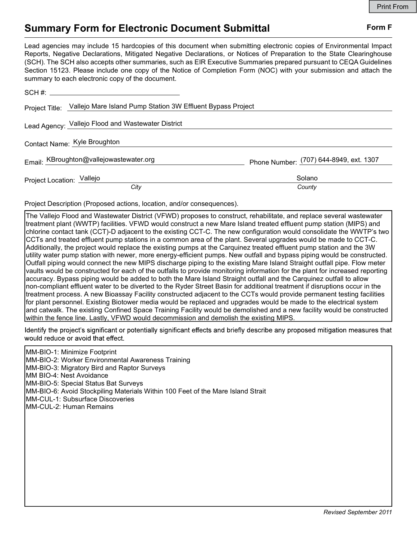## Summary Form for Electronic Document Submittal Form F

Lead agencies may include 15 hardcopies of this document when submitting electronic copies of Environmental Impact Reports, Negative Declarations, Mitigated Negative Declarations, or Notices of Preparation to the State Clearinghouse (SCH). The SCH also accepts other summaries, such as EIR Executive Summaries prepared pursuant to CEQA Guidelines Section 15123. Please include one copy of the Notice of Completion Form (NOC) with your submission and attach the summary to each electronic copy of the document.

|                           | Project Title: Vallejo Mare Island Pump Station 3W Effluent Bypass Project |                                         |
|---------------------------|----------------------------------------------------------------------------|-----------------------------------------|
|                           | Lead Agency: Vallejo Flood and Wastewater District                         |                                         |
|                           | Contact Name: Kyle Broughton                                               |                                         |
|                           | Email: KBroughton@vallejowastewater.org                                    | Phone Number: (707) 644-8949, ext. 1307 |
| Project Location: Vallejo |                                                                            | Solano                                  |
|                           | City                                                                       | County                                  |

Project Description (Proposed actions, location, and/or consequences).

The Vallejo Flood and Wastewater District (VFWD) proposes to construct, rehabilitate, and replace several wastewater treatment plant (WWTP) facilities. VFWD would construct a new Mare Island treated effluent pump station (MIPS) and chlorine contact tank (CCT)-D adjacent to the existing CCT-C. The new configuration would consolidate the WWTP's two CCTs and treated effluent pump stations in a common area of the plant. Several upgrades would be made to CCT-C. Additionally, the project would replace the existing pumps at the Carquinez treated effluent pump station and the 3W utility water pump station with newer, more energy-efficient pumps. New outfall and bypass piping would be constructed. Outfall piping would connect the new MIPS discharge piping to the existing Mare Island Straight outfall pipe. Flow meter vaults would be constructed for each of the outfalls to provide monitoring information for the plant for increased reporting accuracy. Bypass piping would be added to both the Mare Island Straight outfall and the Carquinez outfall to allow non-compliant effluent water to be diverted to the Ryder Street Basin for additional treatment if disruptions occur in the treatment process. A new Bioassay Facility constructed adjacent to the CCTs would provide permanent testing facilities for plant personnel. Existing Biotower media would be replaced and upgrades would be made to the electrical system and catwalk. The existing Confined Space Training Facility would be demolished and a new facility would be constructed within the fence line. Lastly, VFWD would decommission and demolish the existing MIPS.

Identify the project's significant or potentially significant effects and briefly describe any proposed mitigation measures that would reduce or avoid that effect.

MM-BIO-1: Minimize Footprint MM-BIO-2: Worker Environmental Awareness Training MM-BIO-3: Migratory Bird and Raptor Surveys MM BIO-4: Nest Avoidance MM-BIO-5: Special Status Bat Surveys MM-BIO-6: Avoid Stockpiling Materials Within 100 Feet of the Mare Island Strait MM-CUL-1: Subsurface Discoveries MM-CUL-2: Human Remains